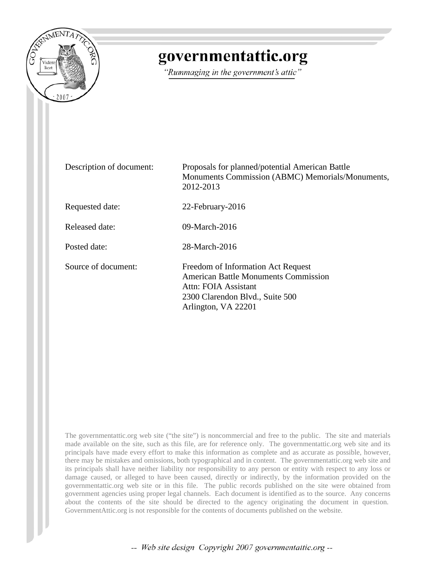

# governmentattic.org

"Rummaging in the government's attic"

| Description of document: | Proposals for planned/potential American Battle<br>Monuments Commission (ABMC) Memorials/Monuments,<br>2012-2013                                                    |
|--------------------------|---------------------------------------------------------------------------------------------------------------------------------------------------------------------|
| Requested date:          | 22-February-2016                                                                                                                                                    |
| Released date:           | 09-March-2016                                                                                                                                                       |
| Posted date:             | 28-March-2016                                                                                                                                                       |
| Source of document:      | Freedom of Information Act Request<br><b>American Battle Monuments Commission</b><br>Attn: FOIA Assistant<br>2300 Clarendon Blvd., Suite 500<br>Arlington, VA 22201 |

The governmentattic.org web site ("the site") is noncommercial and free to the public. The site and materials made available on the site, such as this file, are for reference only. The governmentattic.org web site and its principals have made every effort to make this information as complete and as accurate as possible, however, there may be mistakes and omissions, both typographical and in content. The governmentattic.org web site and its principals shall have neither liability nor responsibility to any person or entity with respect to any loss or damage caused, or alleged to have been caused, directly or indirectly, by the information provided on the governmentattic.org web site or in this file. The public records published on the site were obtained from government agencies using proper legal channels. Each document is identified as to the source. Any concerns about the contents of the site should be directed to the agency originating the document in question. GovernmentAttic.org is not responsible for the contents of documents published on the website.

-- Web site design Copyright 2007 governmentattic.org --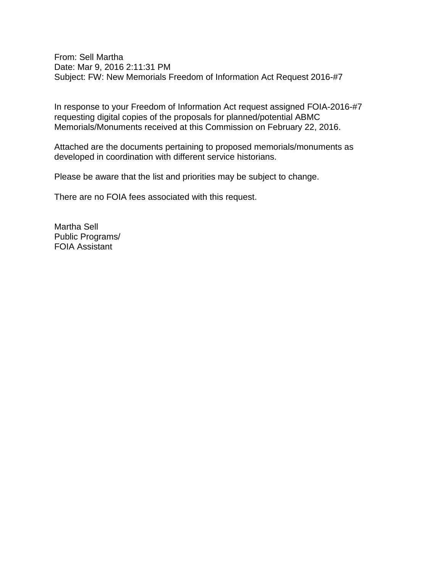From: Sell Martha Date: Mar 9, 2016 2:11:31 PM Subject: FW: New Memorials Freedom of Information Act Request 2016-#7

In response to your Freedom of Information Act request assigned FOIA-2016-#7 requesting digital copies of the proposals for planned/potential ABMC Memorials/Monuments received at this Commission on February 22, 2016.

Attached are the documents pertaining to proposed memorials/monuments as developed in coordination with different service historians.

Please be aware that the list and priorities may be subject to change.

There are no FOIA fees associated with this request.

Martha Sell Public Programs/ FOIA Assistant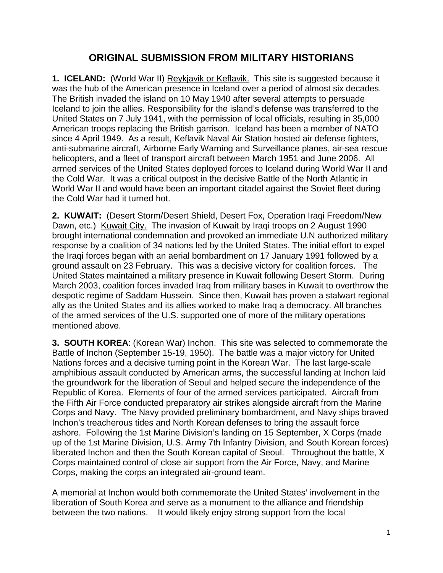## **ORIGINAL SUBMISSION FROM MILITARY HISTORIANS**

**1. ICELAND:** (World War II) Reykjavik or Keflavik. This site is suggested because it was the hub of the American presence in Iceland over a period of almost six decades. The British invaded the island on 10 May 1940 after several attempts to persuade Iceland to join the allies. Responsibility for the island's defense was transferred to the [United](http://en.wikipedia.org/wiki/United_States) States on 7 July 1941, with the permission of local officials, resulting in 35,000 American troops replacing the British garrison. Iceland has been a member of NATO since 4 April 1949. As a result, Keflavik Naval Air Station hosted air defense fighters, anti-submarine aircraft, Airborne Early Warning and Surveillance planes, air-sea rescue helicopters, and a fleet of transport aircraft between March 1951 and June 2006. All armed services of the United States deployed forces to Iceland during World War II and the Cold War. It was a critical outpost in the decisive Battle of the North Atlantic in World War II and would have been an important citadel against the Soviet fleet during the Cold War had it turned hot.

**2. KUWAIT:** (Desert Storm/Desert Shield, Desert Fox, Operation Iraqi Freedom/New Dawn, etc.) Kuwait City. The invasion of Kuwait by Iraqi troops on 2 August 1990 brought international condemnation and provoked an immediate U.N authorized military response by a coalition of 34 nations led by the United States. The initial effort to expel the Iraqi forces began with an aerial bombardment on 17 January 1991 followed by a ground assault on 23 February. This was a decisive victory for coalition forces. The United States maintained a military presence in Kuwait following Desert Storm. During March 2003, coalition forces invaded Iraq from military bases in Kuwait to overthrow the despotic regime of Saddam Hussein. Since then, Kuwait has proven a stalwart regional ally as the United States and its allies worked to make Iraq a democracy. All branches of the armed services of the U.S. supported one of more of the military operations mentioned above.

**3. SOUTH KOREA**: (Korean War) Inchon. This site was selected to commemorate the Battle of Inchon (September 15-19, 1950). The battle was a major victory for United Nations forces and a decisive turning point in the Korean War. The last large-scale amphibious assault conducted by American arms, the successful landing at Inchon laid the groundwork for the liberation of Seoul and helped secure the independence of the Republic of Korea. Elements of four of the armed services participated. Aircraft from the Fifth Air Force conducted preparatory air strikes alongside aircraft from the Marine Corps and Navy. The Navy provided preliminary bombardment, and Navy ships braved Inchon's treacherous tides and North Korean defenses to bring the assault force ashore. Following the 1st Marine Division's landing on 15 September, X Corps (made up of the 1st Marine Division, U.S. Army 7th Infantry Division, and South Korean forces) liberated Inchon and then the South Korean capital of Seoul. Throughout the battle, X Corps maintained control of close air support from the Air Force, Navy, and Marine Corps, making the corps an integrated air-ground team.

A memorial at Inchon would both commemorate the United States' involvement in the liberation of South Korea and serve as a monument to the alliance and friendship between the two nations. It would likely enjoy strong support from the local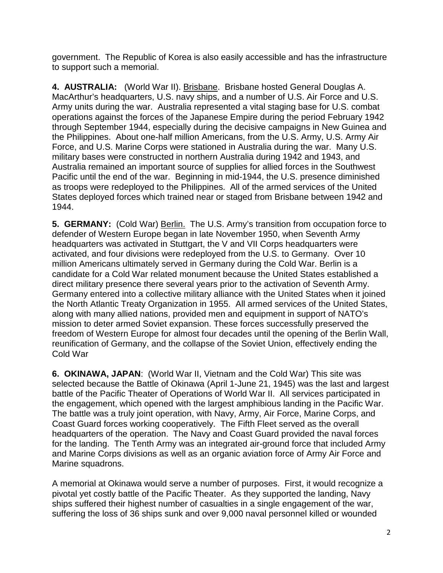government. The Republic of Korea is also easily accessible and has the infrastructure to support such a memorial.

**4. AUSTRALIA:** (World War II). Brisbane. Brisbane hosted General Douglas A. MacArthur's headquarters, U.S. navy ships, and a number of U.S. Air Force and U.S. Army units during the war. Australia represented a vital staging base for U.S. combat operations against the forces of the Japanese Empire during the period February 1942 through September 1944, especially during the decisive campaigns in New Guinea and the Philippines. About one-half million Americans, from the U.S. Army, U.S. Army Air Force, and U.S. Marine Corps were stationed in Australia during the war. Many U.S. military bases were constructed in northern Australia during 1942 and 1943, and Australia remained an important source of supplies for allied forces in the Southwest Pacific until the end of the war. Beginning in mid-1944, the U.S. presence diminished as troops were redeployed to the Philippines. All of the armed services of the United States deployed forces which trained near or staged from Brisbane between 1942 and 1944.

**5. GERMANY:** (Cold War) Berlin. The U.S. Army's transition from occupation force to defender of Western Europe began in late November 1950, when Seventh Army headquarters was activated in Stuttgart, the V and VII Corps headquarters were activated, and four divisions were redeployed from the U.S. to Germany. Over 10 million Americans ultimately served in Germany during the Cold War. Berlin is a candidate for a Cold War related monument because the United States established a direct military presence there several years prior to the activation of Seventh Army. Germany entered into a collective military alliance with the United States when it joined the North Atlantic Treaty Organization in 1955. All armed services of the United States, along with many allied nations, provided men and equipment in support of NATO's mission to deter armed Soviet expansion. These forces successfully preserved the freedom of Western Europe for almost four decades until the opening of the Berlin Wall, reunification of Germany, and the collapse of the Soviet Union, effectively ending the Cold War

**6. OKINAWA, JAPAN**: (World War II, Vietnam and the Cold War) This site was selected because the Battle of Okinawa (April 1-June 21, 1945) was the last and largest battle of the Pacific Theater of Operations of World War II. All services participated in the engagement, which opened with the largest amphibious landing in the Pacific War. The battle was a truly joint operation, with Navy, Army, Air Force, Marine Corps, and Coast Guard forces working cooperatively. The Fifth Fleet served as the overall headquarters of the operation. The Navy and Coast Guard provided the naval forces for the landing. The Tenth Army was an integrated air-ground force that included Army and Marine Corps divisions as well as an organic aviation force of Army Air Force and Marine squadrons.

A memorial at Okinawa would serve a number of purposes. First, it would recognize a pivotal yet costly battle of the Pacific Theater. As they supported the landing, Navy ships suffered their highest number of casualties in a single engagement of the war, suffering the loss of 36 ships sunk and over 9,000 naval personnel killed or wounded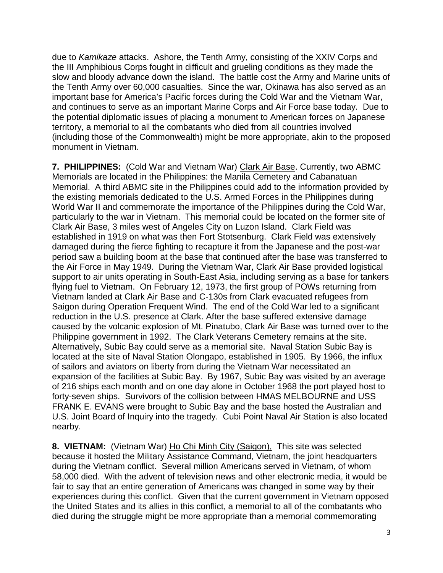due to *Kamikaze* attacks. Ashore, the Tenth Army, consisting of the XXIV Corps and the III Amphibious Corps fought in difficult and grueling conditions as they made the slow and bloody advance down the island. The battle cost the Army and Marine units of the Tenth Army over 60,000 casualties. Since the war, Okinawa has also served as an important base for America's Pacific forces during the Cold War and the Vietnam War, and continues to serve as an important Marine Corps and Air Force base today. Due to the potential diplomatic issues of placing a monument to American forces on Japanese territory, a memorial to all the combatants who died from all countries involved (including those of the Commonwealth) might be more appropriate, akin to the proposed monument in Vietnam.

**7. PHILIPPINES:** (Cold War and Vietnam War) Clark Air Base. Currently, two ABMC Memorials are located in the Philippines: the Manila Cemetery and Cabanatuan Memorial. A third ABMC site in the Philippines could add to the information provided by the existing memorials dedicated to the U.S. Armed Forces in the Philippines during World War II and commemorate the importance of the Philippines during the Cold War, particularly to the war in Vietnam. This memorial could be located on the former site of Clark Air Base, 3 miles west of Angeles City on Luzon Island. Clark Field was established in 1919 on what was then Fort Stotsenburg. Clark Field was extensively damaged during the fierce fighting to recapture it from the Japanese and the post-war period saw a building boom at the base that continued after the base was transferred to the Air Force in May 1949. During the Vietnam War, Clark Air Base provided logistical support to air units operating in South-East Asia, including serving as a base for tankers flying fuel to Vietnam. On February 12, 1973, the first group of POWs returning from Vietnam landed at Clark Air Base and C-130s from Clark evacuated refugees from Saigon during Operation Frequent Wind. The end of the Cold War led to a significant reduction in the U.S. presence at Clark. After the base suffered extensive damage caused by the volcanic explosion of Mt. Pinatubo, Clark Air Base was turned over to the Philippine government in 1992. The Clark Veterans Cemetery remains at the site. Alternatively, Subic Bay could serve as a memorial site. Naval Station Subic Bay is located at the site of Naval Station Olongapo, established in 1905. By 1966, the influx of sailors and aviators on liberty from during the Vietnam War necessitated an expansion of the facilities at Subic Bay. By 1967, Subic Bay was visited by an average of 216 ships each month and on one day alone in October 1968 the port played host to forty-seven ships. Survivors of the collision between HMAS MELBOURNE and USS FRANK E. EVANS were brought to Subic Bay and the base hosted the Australian and U.S. Joint Board of Inquiry into the tragedy. Cubi Point Naval Air Station is also located nearby.

**8. VIETNAM:** (Vietnam War) Ho Chi Minh City (Saigon), This site was selected because it hosted the Military Assistance Command, Vietnam, the joint headquarters during the Vietnam conflict. Several million Americans served in Vietnam, of whom 58,000 died. With the advent of television news and other electronic media, it would be fair to say that an entire generation of Americans was changed in some way by their experiences during this conflict. Given that the current government in Vietnam opposed the United States and its allies in this conflict, a memorial to all of the combatants who died during the struggle might be more appropriate than a memorial commemorating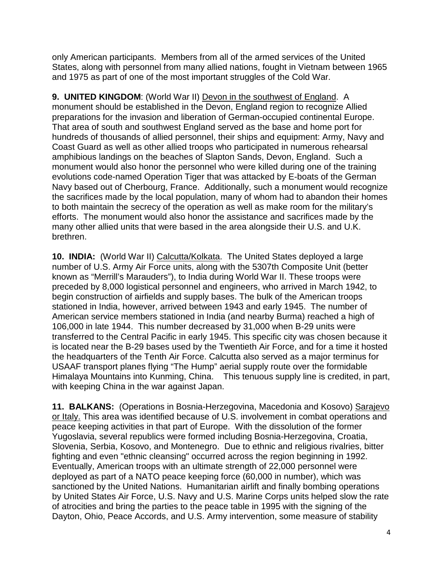only American participants. Members from all of the armed services of the United States, along with personnel from many allied nations, fought in Vietnam between 1965 and 1975 as part of one of the most important struggles of the Cold War.

**9. UNITED KINGDOM**: (World War II) Devon in the southwest of England. A monument should be established in the Devon, England region to recognize Allied preparations for the invasion and liberation of German-occupied continental Europe. That area of south and southwest England served as the base and home port for hundreds of thousands of allied personnel, their ships and equipment: Army, Navy and Coast Guard as well as other allied troops who participated in numerous rehearsal amphibious landings on the beaches of Slapton Sands, Devon, England. Such a monument would also honor the personnel who were killed during one of the training evolutions code-named Operation Tiger that was attacked by E-boats of the German Navy based out of Cherbourg, France. Additionally, such a monument would recognize the sacrifices made by the local population, many of whom had to abandon their homes to both maintain the secrecy of the operation as well as make room for the military's efforts. The monument would also honor the assistance and sacrifices made by the many other allied units that were based in the area alongside their U.S. and U.K. brethren.

**10. INDIA:** (World War II) Calcutta/Kolkata. The United States deployed a large number of U.S. Army Air Force units, along with the 5307th Composite Unit (better known as "Merrill's Marauders"), to India during World War II. These troops were preceded by 8,000 logistical personnel and engineers, who arrived in March 1942, to begin construction of airfields and supply bases. The bulk of the American troops stationed in India, however, arrived between 1943 and early 1945. The number of American service members stationed in India (and nearby Burma) reached a high of 106,000 in late 1944. This number decreased by 31,000 when B-29 units were transferred to the Central Pacific in early 1945. This specific city was chosen because it is located near the B-29 bases used by the Twentieth Air Force, and for a time it hosted the headquarters of the Tenth Air Force. Calcutta also served as a major terminus for USAAF transport planes flying "The Hump" aerial supply route over the formidable Himalaya Mountains into Kunming, China. This tenuous supply line is credited, in part, with keeping China in the war against Japan.

**11. BALKANS:** (Operations in Bosnia-Herzegovina, Macedonia and Kosovo) Sarajevo or Italy. This area was identified because of U.S. involvement in combat operations and peace keeping activities in that part of Europe. With the dissolution of the former Yugoslavia, several republics were formed including Bosnia-Herzegovina, Croatia, Slovenia, Serbia, Kosovo, and Montenegro. Due to ethnic and religious rivalries, bitter fighting and even "ethnic cleansing" occurred across the region beginning in 1992. Eventually, American troops with an ultimate strength of 22,000 personnel were deployed as part of a NATO peace keeping force (60,000 in number), which was sanctioned by the United Nations. Humanitarian airlift and finally bombing operations by United States Air Force, U.S. Navy and U.S. Marine Corps units helped slow the rate of atrocities and bring the parties to the peace table in 1995 with the signing of the Dayton, Ohio, Peace Accords, and U.S. Army intervention, some measure of stability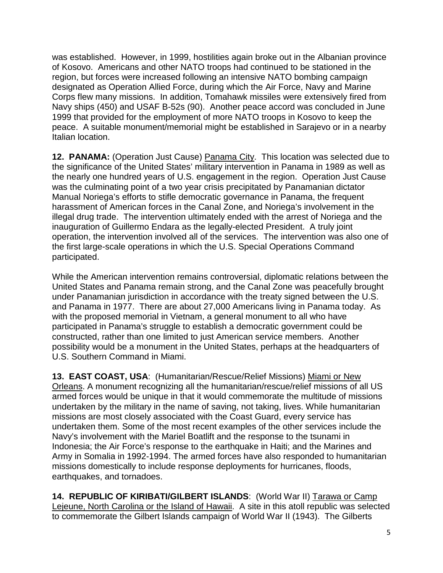was established. However, in 1999, hostilities again broke out in the Albanian province of Kosovo. Americans and other NATO troops had continued to be stationed in the region, but forces were increased following an intensive NATO bombing campaign designated as Operation Allied Force, during which the Air Force, Navy and Marine Corps flew many missions. In addition, Tomahawk missiles were extensively fired from Navy ships (450) and USAF B-52s (90). Another peace accord was concluded in June 1999 that provided for the employment of more NATO troops in Kosovo to keep the peace. A suitable monument/memorial might be established in Sarajevo or in a nearby Italian location.

**12. PANAMA:** (Operation Just Cause) Panama City. This location was selected due to the significance of the United States' military intervention in Panama in 1989 as well as the nearly one hundred years of U.S. engagement in the region. Operation Just Cause was the culminating point of a two year crisis precipitated by Panamanian dictator Manual Noriega's efforts to stifle democratic governance in Panama, the frequent harassment of American forces in the Canal Zone, and Noriega's involvement in the illegal drug trade. The intervention ultimately ended with the arrest of Noriega and the inauguration of Guillermo Endara as the legally-elected President. A truly joint operation, the intervention involved all of the services. The intervention was also one of the first large-scale operations in which the U.S. Special Operations Command participated.

While the American intervention remains controversial, diplomatic relations between the United States and Panama remain strong, and the Canal Zone was peacefully brought under Panamanian jurisdiction in accordance with the treaty signed between the U.S. and Panama in 1977. There are about 27,000 Americans living in Panama today. As with the proposed memorial in Vietnam, a general monument to all who have participated in Panama's struggle to establish a democratic government could be constructed, rather than one limited to just American service members. Another possibility would be a monument in the United States, perhaps at the headquarters of U.S. Southern Command in Miami.

**13. EAST COAST, USA**: (Humanitarian/Rescue/Relief Missions) Miami or New Orleans. A monument recognizing all the humanitarian/rescue/relief missions of all US armed forces would be unique in that it would commemorate the multitude of missions undertaken by the military in the name of saving, not taking, lives. While humanitarian missions are most closely associated with the Coast Guard, every service has undertaken them. Some of the most recent examples of the other services include the Navy's involvement with the Mariel Boatlift and the response to the tsunami in Indonesia; the Air Force's response to the earthquake in Haiti; and the Marines and Army in Somalia in 1992-1994. The armed forces have also responded to humanitarian missions domestically to include response deployments for hurricanes, floods, earthquakes, and tornadoes.

**14. REPUBLIC OF KIRIBATI/GILBERT ISLANDS**: (World War II) Tarawa or Camp Lejeune, North Carolina or the Island of Hawaii. A site in this atoll republic was selected to commemorate the Gilbert Islands campaign of World War II (1943). The Gilberts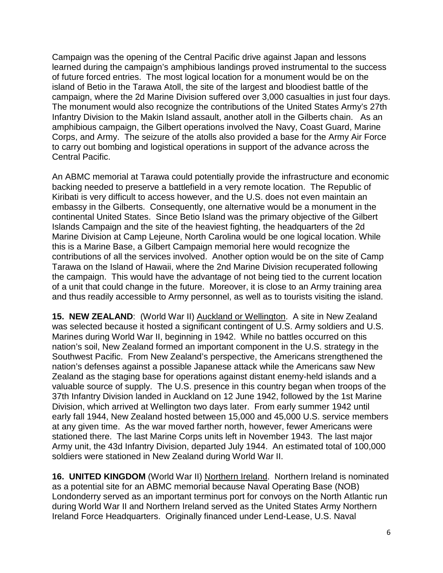Campaign was the opening of the Central Pacific drive against Japan and lessons learned during the campaign's amphibious landings proved instrumental to the success of future forced entries. The most logical location for a monument would be on the island of Betio in the Tarawa Atoll, the site of the largest and bloodiest battle of the campaign, where the 2d Marine Division suffered over 3,000 casualties in just four days. The monument would also recognize the contributions of the United States Army's 27th Infantry Division to the Makin Island assault, another atoll in the Gilberts chain. As an amphibious campaign, the Gilbert operations involved the Navy, Coast Guard, Marine Corps, and Army. The seizure of the atolls also provided a base for the Army Air Force to carry out bombing and logistical operations in support of the advance across the Central Pacific.

An ABMC memorial at Tarawa could potentially provide the infrastructure and economic backing needed to preserve a battlefield in a very remote location. The Republic of Kiribati is very difficult to access however, and the U.S. does not even maintain an embassy in the Gilberts. Consequently, one alternative would be a monument in the continental United States. Since Betio Island was the primary objective of the Gilbert Islands Campaign and the site of the heaviest fighting, the headquarters of the 2d Marine Division at Camp Lejeune, North Carolina would be one logical location. While this is a Marine Base, a Gilbert Campaign memorial here would recognize the contributions of all the services involved. Another option would be on the site of Camp Tarawa on the Island of Hawaii, where the 2nd Marine Division recuperated following the campaign. This would have the advantage of not being tied to the current location of a unit that could change in the future. Moreover, it is close to an Army training area and thus readily accessible to Army personnel, as well as to tourists visiting the island.

15. NEW ZEALAND: (World War II) **Auckland or Wellington**. A site in New Zealand was selected because it hosted a significant contingent of U.S. Army soldiers and U.S. Marines during World War II, beginning in 1942. While no battles occurred on this nation's soil, New Zealand formed an important component in the U.S. strategy in the Southwest Pacific. From New Zealand's perspective, the Americans strengthened the nation's defenses against a possible Japanese attack while the Americans saw New Zealand as the staging base for operations against distant enemy-held islands and a valuable source of supply. The U.S. presence in this country began when troops of the 37th Infantry Division landed in Auckland on 12 June 1942, followed by the 1st Marine Division, which arrived at Wellington two days later. From early summer 1942 until early fall 1944, New Zealand hosted between 15,000 and 45,000 U.S. service members at any given time. As the war moved farther north, however, fewer Americans were stationed there. The last Marine Corps units left in November 1943. The last major Army unit, the 43d Infantry Division, departed July 1944. An estimated total of 100,000 soldiers were stationed in New Zealand during World War II.

**16. UNITED KINGDOM** (World War II) Northern Ireland. Northern Ireland is nominated as a potential site for an ABMC memorial because Naval Operating Base (NOB) Londonderry served as an important terminus port for convoys on the North Atlantic run during World War II and Northern Ireland served as the United States Army Northern Ireland Force Headquarters. Originally financed under Lend-Lease, U.S. Naval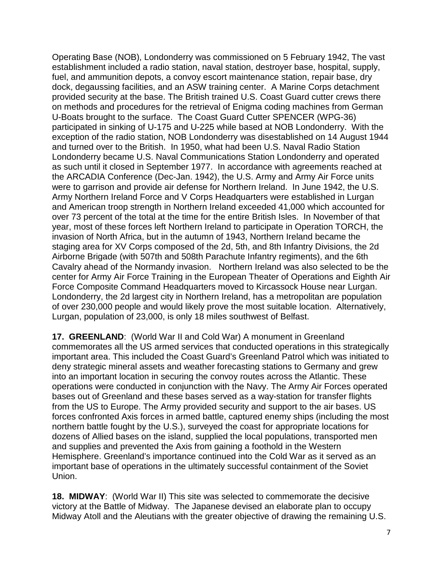Operating Base (NOB), Londonderry was commissioned on 5 February 1942, The vast establishment included a radio station, naval station, destroyer base, hospital, supply, fuel, and ammunition depots, a convoy escort maintenance station, repair base, dry dock, degaussing facilities, and an ASW training center. A Marine Corps detachment provided security at the base. The British trained U.S. Coast Guard cutter crews there on methods and procedures for the retrieval of Enigma coding machines from German U-Boats brought to the surface. The Coast Guard Cutter SPENCER (WPG-36) participated in sinking of U-175 and U-225 while based at NOB Londonderry. With the exception of the radio station, NOB Londonderry was disestablished on 14 August 1944 and turned over to the British. In 1950, what had been U.S. Naval Radio Station Londonderry became U.S. Naval Communications Station Londonderry and operated as such until it closed in September 1977. In accordance with agreements reached at the ARCADIA Conference (Dec-Jan. 1942), the U.S. Army and Army Air Force units were to garrison and provide air defense for Northern Ireland. In June 1942, the U.S. Army Northern Ireland Force and V Corps Headquarters were established in Lurgan and American troop strength in Northern Ireland exceeded 41,000 which accounted for over 73 percent of the total at the time for the entire British Isles. In November of that year, most of these forces left Northern Ireland to participate in Operation TORCH, the invasion of North Africa, but in the autumn of 1943, Northern Ireland became the staging area for XV Corps composed of the 2d, 5th, and 8th Infantry Divisions, the 2d Airborne Brigade (with 507th and 508th Parachute Infantry regiments), and the 6th Cavalry ahead of the Normandy invasion. Northern Ireland was also selected to be the center for Army Air Force Training in the European Theater of Operations and Eighth Air Force Composite Command Headquarters moved to Kircassock House near Lurgan. Londonderry, the 2d largest city in Northern Ireland, has a metropolitan are population of over 230,000 people and would likely prove the most suitable location. Alternatively, Lurgan, population of 23,000, is only 18 miles southwest of Belfast.

**17. GREENLAND**: (World War II and Cold War) A monument in Greenland commemorates all the US armed services that conducted operations in this strategically important area. This included the Coast Guard's Greenland Patrol which was initiated to deny strategic mineral assets and weather forecasting stations to Germany and grew into an important location in securing the convoy routes across the Atlantic. These operations were conducted in conjunction with the Navy. The Army Air Forces operated bases out of Greenland and these bases served as a way-station for transfer flights from the US to Europe. The Army provided security and support to the air bases. US forces confronted Axis forces in armed battle, captured enemy ships (including the most northern battle fought by the U.S.), surveyed the coast for appropriate locations for dozens of Allied bases on the island, supplied the local populations, transported men and supplies and prevented the Axis from gaining a foothold in the Western Hemisphere. Greenland's importance continued into the Cold War as it served as an important base of operations in the ultimately successful containment of the Soviet Union.

**18. MIDWAY**: (World War II) This site was selected to commemorate the decisive victory at the Battle of Midway. The Japanese devised an elaborate plan to occupy Midway Atoll and the Aleutians with the greater objective of drawing the remaining U.S.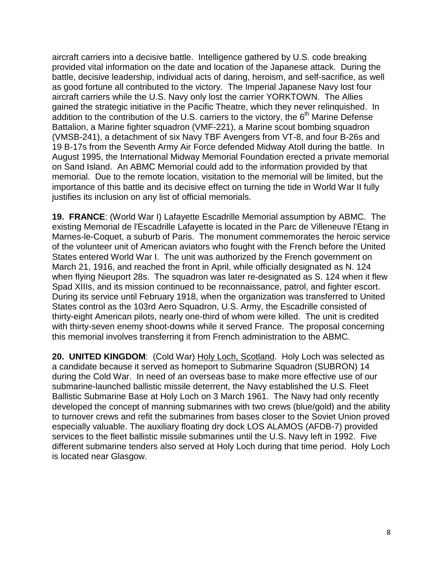aircraft carriers into a decisive battle. Intelligence gathered by U.S. code breaking provided vital information on the date and location of the Japanese attack. During the battle, decisive leadership, individual acts of daring, heroism, and self-sacrifice, as well as good fortune all contributed to the victory. The Imperial Japanese Navy lost four aircraft carriers while the U.S. Navy only lost the carrier YORKTOWN. The Allies gained the strategic initiative in the Pacific Theatre, which they never relinquished. In addition to the contribution of the U.S. carriers to the victory, the  $6<sup>th</sup>$  Marine Defense Battalion, a Marine fighter squadron (VMF-221), a Marine scout bombing squadron (VMSB-241), a detachment of six Navy TBF Avengers from VT-8, and four B-26s and 19 B-17s from the Seventh Army Air Force defended Midway Atoll during the battle. In August 1995, the International Midway Memorial Foundation erected a private memorial on Sand Island. An ABMC Memorial could add to the information provided by that memorial. Due to the remote location, visitation to the memorial will be limited, but the importance of this battle and its decisive effect on turning the tide in World War II fully justifies its inclusion on any list of official memorials.

**19. FRANCE**: (World War I) Lafayette Escadrille Memorial assumption by ABMC. The existing Memorial de l'Escadrille Lafayette is located in the Parc de Villeneuve l'Etang in Marnes-le-Coquet, a suburb of Paris. The monument commemorates the heroic service of the volunteer unit of American aviators who fought with the French before the United States entered World War I. The unit was authorized by the French government on March 21, 1916, and reached the front in April, while officially designated as N. 124 when flying Nieuport 28s. The squadron was later re-designated as S. 124 when it flew Spad XIIIs, and its mission continued to be reconnaissance, patrol, and fighter escort. During its service until February 1918, when the organization was transferred to United States control as the 103rd Aero Squadron, U.S. Army, the Escadrille consisted of thirty-eight American pilots, nearly one-third of whom were killed. The unit is credited with thirty-seven enemy shoot-downs while it served France. The proposal concerning this memorial involves transferring it from French administration to the ABMC.

**20. UNITED KINGDOM**: (Cold War) Holy Loch, Scotland. Holy Loch was selected as a candidate because it served as homeport to Submarine Squadron (SUBRON) 14 during the Cold War. In need of an overseas base to make more effective use of our submarine-launched ballistic missile deterrent, the Navy established the U.S. Fleet Ballistic Submarine Base at Holy Loch on 3 March 1961. The Navy had only recently developed the concept of manning submarines with two crews (blue/gold) and the ability to turnover crews and refit the submarines from bases closer to the Soviet Union proved especially valuable. The auxiliary floating dry dock LOS ALAMOS (AFDB-7) provided services to the fleet ballistic missile submarines until the U.S. Navy left in 1992. Five different submarine tenders also served at Holy Loch during that time period. Holy Loch is located near Glasgow.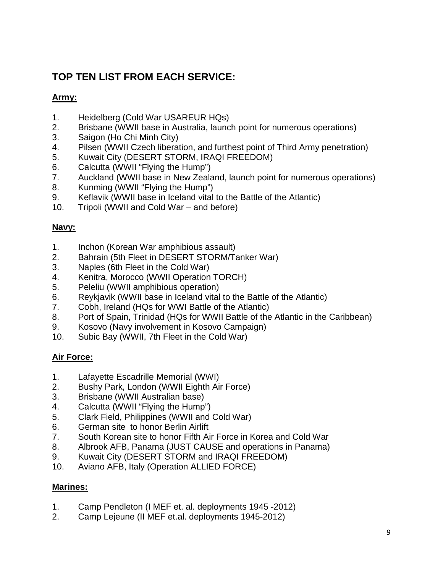# **TOP TEN LIST FROM EACH SERVICE:**

#### **Army:**

- 1. Heidelberg (Cold War USAREUR HQs)
- 2. Brisbane (WWII base in Australia, launch point for numerous operations)
- 3. Saigon (Ho Chi Minh City)
- 4. Pilsen (WWII Czech liberation, and furthest point of Third Army penetration)
- 5. Kuwait City (DESERT STORM, IRAQI FREEDOM)
- 6. Calcutta (WWII "Flying the Hump")
- 7. Auckland (WWII base in New Zealand, launch point for numerous operations)
- 8. Kunming (WWII "Flying the Hump")
- 9. Keflavik (WWII base in Iceland vital to the Battle of the Atlantic)
- 10. Tripoli (WWII and Cold War and before)

#### **Navy:**

- 1. Inchon (Korean War amphibious assault)
- 2. Bahrain (5th Fleet in DESERT STORM/Tanker War)
- 3. Naples (6th Fleet in the Cold War)
- 4. Kenitra, Morocco (WWII Operation TORCH)
- 5. Peleliu (WWII amphibious operation)
- 6. Reykjavik (WWII base in Iceland vital to the Battle of the Atlantic)
- 7. Cobh, Ireland (HQs for WWI Battle of the Atlantic)
- 8. Port of Spain, Trinidad (HQs for WWII Battle of the Atlantic in the Caribbean)
- 9. Kosovo (Navy involvement in Kosovo Campaign)
- 10. Subic Bay (WWII, 7th Fleet in the Cold War)

## **Air Force:**

- 1. Lafayette Escadrille Memorial (WWI)
- 2. Bushy Park, London (WWII Eighth Air Force)
- 3. Brisbane (WWII Australian base)
- 4. Calcutta (WWII "Flying the Hump")
- 5. Clark Field, Philippines (WWII and Cold War)
- 6. German site to honor Berlin Airlift
- 7. South Korean site to honor Fifth Air Force in Korea and Cold War
- 8. Albrook AFB, Panama (JUST CAUSE and operations in Panama)
- 9. Kuwait City (DESERT STORM and IRAQI FREEDOM)
- 10. Aviano AFB, Italy (Operation ALLIED FORCE)

#### **Marines:**

- 1. Camp Pendleton (I MEF et. al. deployments 1945 -2012)
- 2. Camp Lejeune (II MEF et.al. deployments 1945-2012)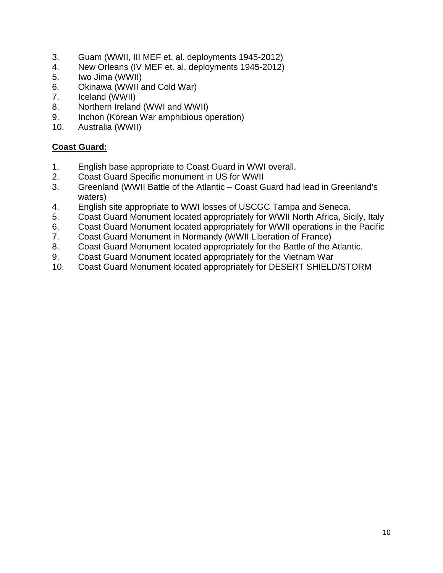- 3. Guam (WWII, III MEF et. al. deployments 1945-2012)
- 4. New Orleans (IV MEF et. al. deployments 1945-2012)
- 5. Iwo Jima (WWII)
- 6. Okinawa (WWII and Cold War)
- 7. Iceland (WWII)
- 8. Northern Ireland (WWI and WWII)
- 9. Inchon (Korean War amphibious operation)
- 10. Australia (WWII)

#### **Coast Guard:**

- 1. English base appropriate to Coast Guard in WWI overall.
- 2. Coast Guard Specific monument in US for WWII
- 3. Greenland (WWII Battle of the Atlantic Coast Guard had lead in Greenland's waters)
- 4. English site appropriate to WWI losses of USCGC Tampa and Seneca.
- 5. Coast Guard Monument located appropriately for WWII North Africa, Sicily, Italy
- 6. Coast Guard Monument located appropriately for WWII operations in the Pacific
- 7. Coast Guard Monument in Normandy (WWII Liberation of France)
- 8. Coast Guard Monument located appropriately for the Battle of the Atlantic.
- 9. Coast Guard Monument located appropriately for the Vietnam War
- 10. Coast Guard Monument located appropriately for DESERT SHIELD/STORM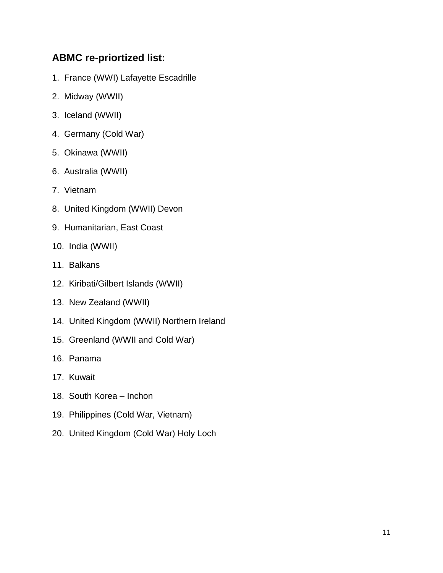# **ABMC re-priortized list:**

- 1. France (WWI) Lafayette Escadrille
- 2. Midway (WWII)
- 3. Iceland (WWII)
- 4. Germany (Cold War)
- 5. Okinawa (WWII)
- 6. Australia (WWII)
- 7. Vietnam
- 8. United Kingdom (WWII) Devon
- 9. Humanitarian, East Coast
- 10. India (WWII)
- 11. Balkans
- 12. Kiribati/Gilbert Islands (WWII)
- 13. New Zealand (WWII)
- 14. United Kingdom (WWII) Northern Ireland
- 15. Greenland (WWII and Cold War)
- 16. Panama
- 17. Kuwait
- 18. South Korea Inchon
- 19. Philippines (Cold War, Vietnam)
- 20. United Kingdom (Cold War) Holy Loch